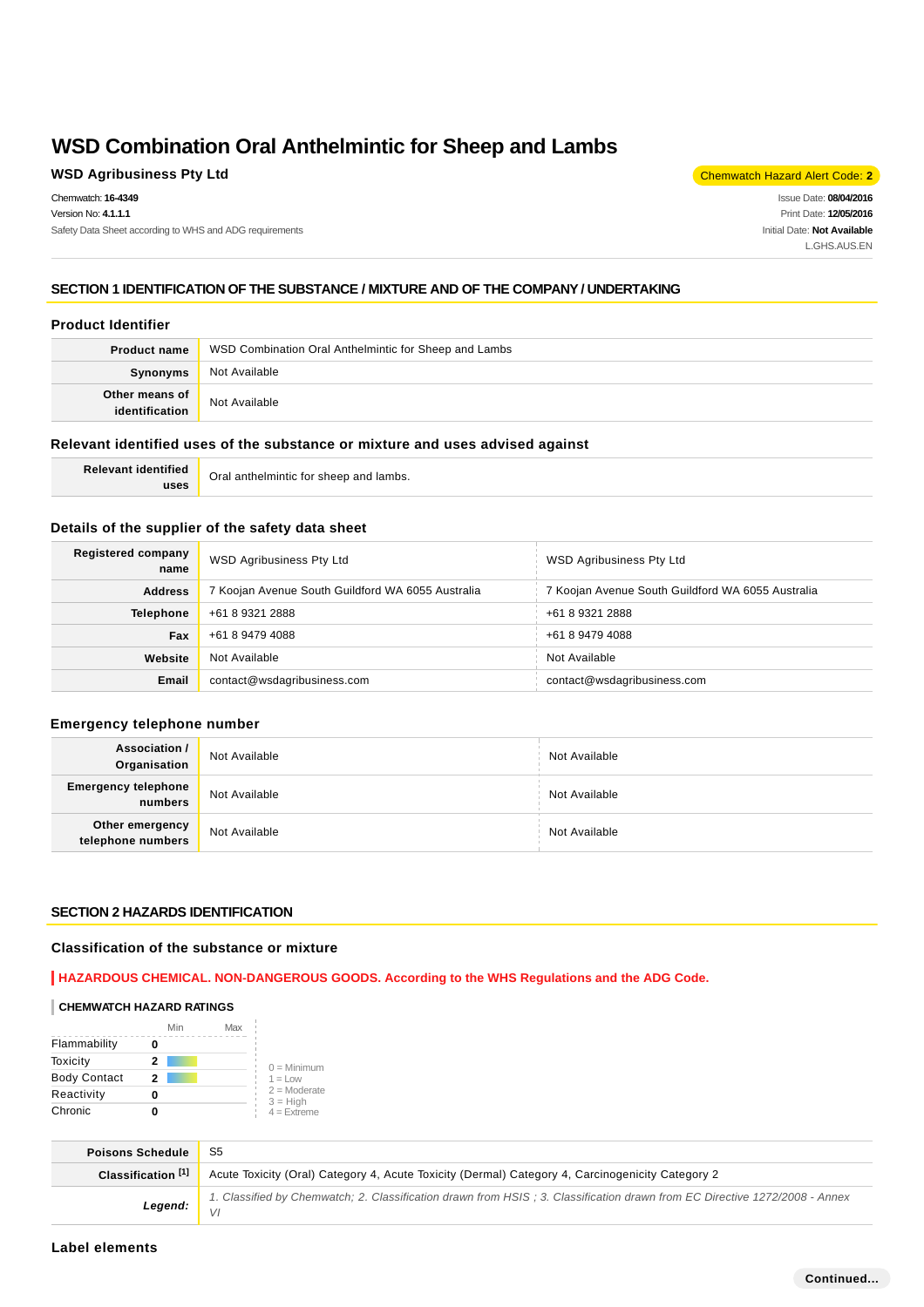## **WSD Agribusiness Pty Ltd** Chemwatch Hazard Alert Code: 2

Chemwatch: **16-4349** Version No: **4.1.1.1** Safety Data Sheet according to WHS and ADG requirements

Issue Date: **08/04/2016** Print Date: **12/05/2016** Initial Date: **Not Available** L.GHS.AUS.EN

## **SECTION 1 IDENTIFICATION OF THE SUBSTANCE / MIXTURE AND OF THE COMPANY / UNDERTAKING**

### **Product Identifier**

| <b>Product name</b>              | WSD Combination Oral Anthelmintic for Sheep and Lambs |
|----------------------------------|-------------------------------------------------------|
| Synonyms                         | Not Available                                         |
| Other means of<br>identification | Not Available                                         |

#### **Relevant identified uses of the substance or mixture and uses advised against**

**Relevant identified uses** Oral anthelmintic for sheep and lambs.

### **Details of the supplier of the safety data sheet**

| Registered company<br>name | <b>WSD Agribusiness Pty Ltd</b>                   | <b>WSD Agribusiness Pty Ltd</b>                   |
|----------------------------|---------------------------------------------------|---------------------------------------------------|
| <b>Address</b>             | 7 Koojan Avenue South Guildford WA 6055 Australia | 7 Koojan Avenue South Guildford WA 6055 Australia |
| <b>Telephone</b>           | +61 8 9321 2888                                   | +61 8 9321 2888                                   |
| Fax                        | +61 8 9479 4088                                   | +61 8 9479 4088                                   |
| Website                    | Not Available                                     | Not Available                                     |
| Email                      | contact@wsdagribusiness.com                       | contact@wsdagribusiness.com                       |

### **Emergency telephone number**

| Association /<br>Organisation                     | Not Available | Not Available |
|---------------------------------------------------|---------------|---------------|
| <b>Emergency telephone</b><br>number <sub>1</sub> | Not Available | Not Available |
| Other emergency<br>telephone numbers              | Not Available | Not Available |

### **SECTION 2 HAZARDS IDENTIFICATION**

#### **Classification of the substance or mixture**

**HAZARDOUS CHEMICAL. NON-DANGEROUS GOODS. According to the WHS Regulations and the ADG Code.**

#### **CHEMWATCH HAZARD RATINGS**

|                     | Min | Max |                              |
|---------------------|-----|-----|------------------------------|
| Flammability        |     |     |                              |
| Toxicity            | 2   |     | $0 =$ Minimum                |
| <b>Body Contact</b> | 2   |     | $1 = L$ ow                   |
| Reactivity          |     |     | $2 =$ Moderate<br>$3 = High$ |
| Chronic             |     |     | $4 =$ Extreme                |

| <b>Poisons Schedule</b>       | -S5                                                                                                                        |
|-------------------------------|----------------------------------------------------------------------------------------------------------------------------|
| Classification <sup>[1]</sup> | Acute Toxicity (Oral) Category 4, Acute Toxicity (Dermal) Category 4, Carcinogenicity Category 2                           |
| Legend: $\frac{1}{\sqrt{1}}$  | 1. Classified by Chemwatch; 2. Classification drawn from HSIS; 3. Classification drawn from EC Directive 1272/2008 - Annex |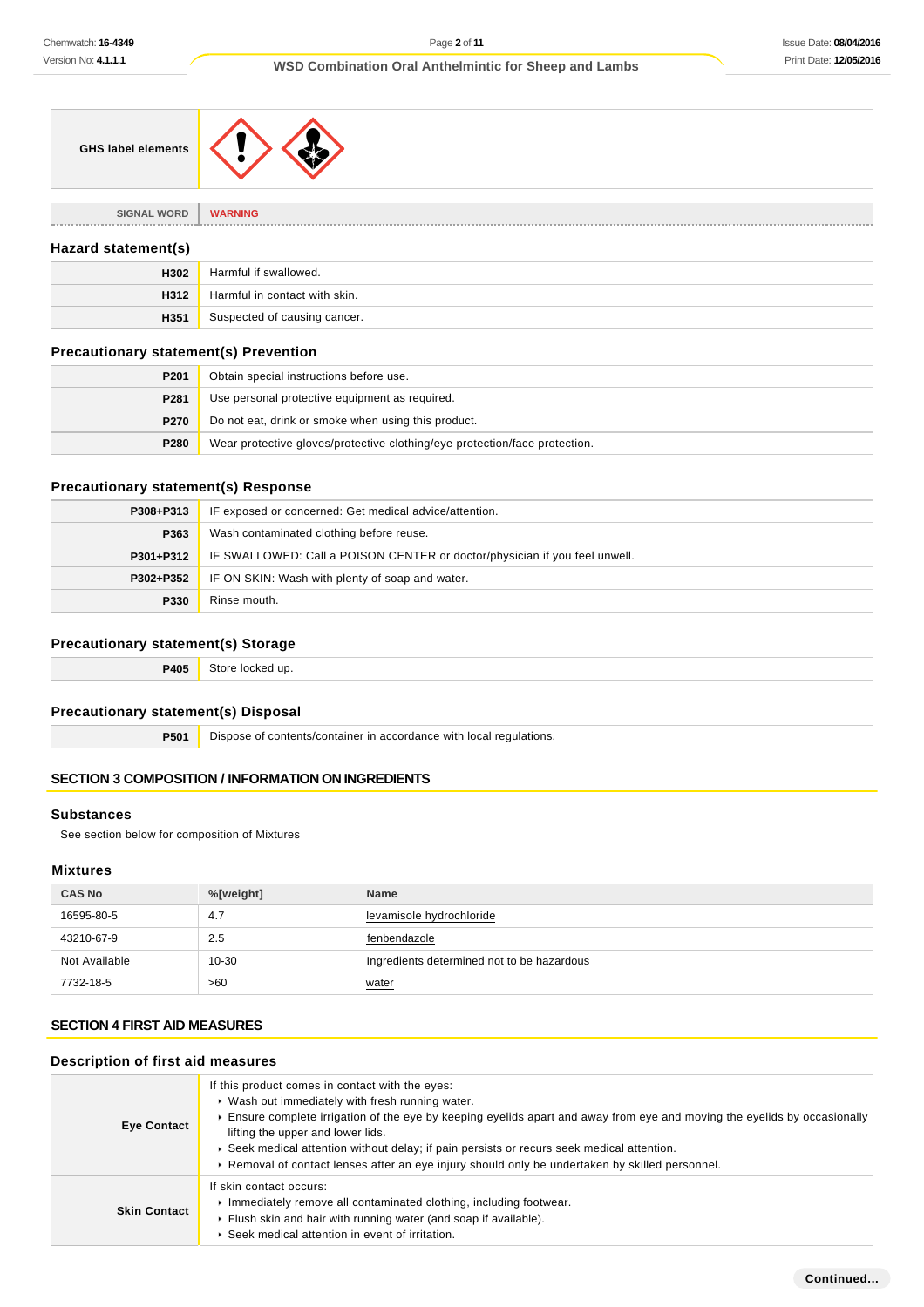### **WSD Combination Oral Anthelmintic for Sheep and Lambs**

|--|

### **Hazard statement(s)**

| H302 | Harmful if swallowed.         |
|------|-------------------------------|
| H312 | Harmful in contact with skin. |
| H351 | Suspected of causing cancer.  |

### **Precautionary statement(s) Prevention**

**SIGNAL WORD WARNING**

| P <sub>201</sub> | Obtain special instructions before use.                                    |
|------------------|----------------------------------------------------------------------------|
| P281             | Use personal protective equipment as required.                             |
| P270             | Do not eat, drink or smoke when using this product.                        |
| P280             | Wear protective gloves/protective clothing/eye protection/face protection. |

### **Precautionary statement(s) Response**

| P308+P313 | IF exposed or concerned: Get medical advice/attention.                     |  |
|-----------|----------------------------------------------------------------------------|--|
| P363      | Wash contaminated clothing before reuse.                                   |  |
| P301+P312 | IF SWALLOWED: Call a POISON CENTER or doctor/physician if you feel unwell. |  |
| P302+P352 | IF ON SKIN: Wash with plenty of soap and water.                            |  |
| P330      | Rinse mouth.                                                               |  |

## **Precautionary statement(s) Storage**

**P405** Store locked up.

### **Precautionary statement(s) Disposal**

**P501** Dispose of contents/container in accordance with local regulations.

## **SECTION 3 COMPOSITION / INFORMATION ON INGREDIENTS**

### **Substances**

See section below for composition of Mixtures

#### **Mixtures**

| <b>CAS No</b> | %[weight] | <b>Name</b>                                |
|---------------|-----------|--------------------------------------------|
| 16595-80-5    | 4.7       | levamisole hydrochloride                   |
| 43210-67-9    | 2.5       | fenbendazole                               |
| Not Available | $10 - 30$ | Ingredients determined not to be hazardous |
| 7732-18-5     | >60       | water                                      |

## **SECTION 4 FIRST AID MEASURES**

## **Description of first aid measures**

| <b>Eye Contact</b>  | If this product comes in contact with the eyes:<br>• Wash out immediately with fresh running water.<br>Ensure complete irrigation of the eye by keeping eyelids apart and away from eye and moving the eyelids by occasionally<br>lifting the upper and lower lids.<br>► Seek medical attention without delay; if pain persists or recurs seek medical attention.<br>► Removal of contact lenses after an eye injury should only be undertaken by skilled personnel. |  |
|---------------------|----------------------------------------------------------------------------------------------------------------------------------------------------------------------------------------------------------------------------------------------------------------------------------------------------------------------------------------------------------------------------------------------------------------------------------------------------------------------|--|
| <b>Skin Contact</b> | If skin contact occurs:<br>Immediately remove all contaminated clothing, including footwear.<br>Flush skin and hair with running water (and soap if available).<br>▶ Seek medical attention in event of irritation.                                                                                                                                                                                                                                                  |  |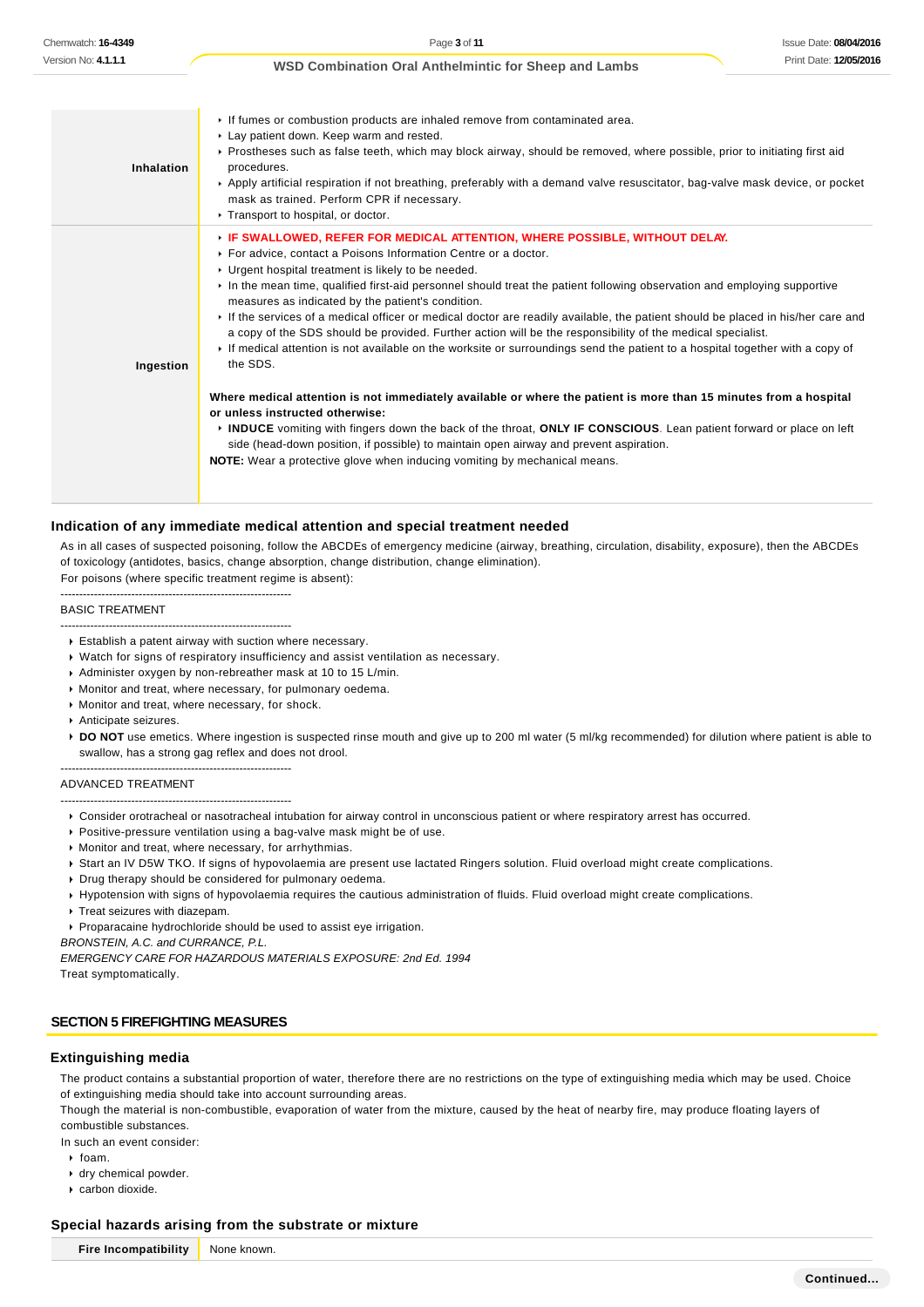**Inhalation** If fumes or combustion products are inhaled remove from contaminated area. **Lay patient down. Keep warm and rested.** Prostheses such as false teeth, which may block airway, should be removed, where possible, prior to initiating first aid procedures. Apply artificial respiration if not breathing, preferably with a demand valve resuscitator, bag-valve mask device, or pocket mask as trained. Perform CPR if necessary. ▶ Transport to hospital, or doctor. **Ingestion IF SWALLOWED, REFER FOR MEDICAL ATTENTION, WHERE POSSIBLE, WITHOUT DELAY.** For advice, contact a Poisons Information Centre or a doctor. **I** Urgent hospital treatment is likely to be needed. In the mean time, qualified first-aid personnel should treat the patient following observation and employing supportive measures as indicated by the patient's condition. If the services of a medical officer or medical doctor are readily available, the patient should be placed in his/her care and a copy of the SDS should be provided. Further action will be the responsibility of the medical specialist. If medical attention is not available on the worksite or surroundings send the patient to a hospital together with a copy of the SDS. **Where medical attention is not immediately available or where the patient is more than 15 minutes from a hospital or unless instructed otherwise: INDUCE** vomiting with fingers down the back of the throat, **ONLY IF CONSCIOUS**. Lean patient forward or place on left side (head-down position, if possible) to maintain open airway and prevent aspiration. **NOTE:** Wear a protective glove when inducing vomiting by mechanical means.

### **Indication of any immediate medical attention and special treatment needed**

As in all cases of suspected poisoning, follow the ABCDEs of emergency medicine (airway, breathing, circulation, disability, exposure), then the ABCDEs of toxicology (antidotes, basics, change absorption, change distribution, change elimination). For poisons (where specific treatment regime is absent):

--------------------------------------------------------------

--------------------------------------------------------------

--------------------------------------------------------------

#### BASIC TREATMENT

- Establish a patent airway with suction where necessary.
- Watch for signs of respiratory insufficiency and assist ventilation as necessary.
- Administer oxygen by non-rebreather mask at 10 to 15 L/min.
- Monitor and treat, where necessary, for pulmonary oedema.
- Monitor and treat, where necessary, for shock.
- Anticipate seizures.
- **DO NOT** use emetics. Where ingestion is suspected rinse mouth and give up to 200 ml water (5 ml/kg recommended) for dilution where patient is able to swallow, has a strong gag reflex and does not drool.

#### ADVANCED TREATMENT

- -------------------------------------------------------------- Consider orotracheal or nasotracheal intubation for airway control in unconscious patient or where respiratory arrest has occurred.
- Positive-pressure ventilation using a bag-valve mask might be of use.
- Monitor and treat, where necessary, for arrhythmias.
- Start an IV D5W TKO. If signs of hypovolaemia are present use lactated Ringers solution. Fluid overload might create complications.
- **Drug therapy should be considered for pulmonary oedema.**
- Hypotension with signs of hypovolaemia requires the cautious administration of fluids. Fluid overload might create complications.
- **Treat seizures with diazepam.**
- Proparacaine hydrochloride should be used to assist eye irrigation.
- BRONSTEIN, A.C. and CURRANCE, P.L.

EMERGENCY CARE FOR HAZARDOUS MATERIALS EXPOSURE: 2nd Ed. 1994 Treat symptomatically.

### **SECTION 5 FIREFIGHTING MEASURES**

#### **Extinguishing media**

The product contains a substantial proportion of water, therefore there are no restrictions on the type of extinguishing media which may be used. Choice of extinguishing media should take into account surrounding areas.

Though the material is non-combustible, evaporation of water from the mixture, caused by the heat of nearby fire, may produce floating layers of combustible substances.

In such an event consider:

- $\cdot$  foam.
- 
- dry chemical powder. carbon dioxide.

#### **Special hazards arising from the substrate or mixture**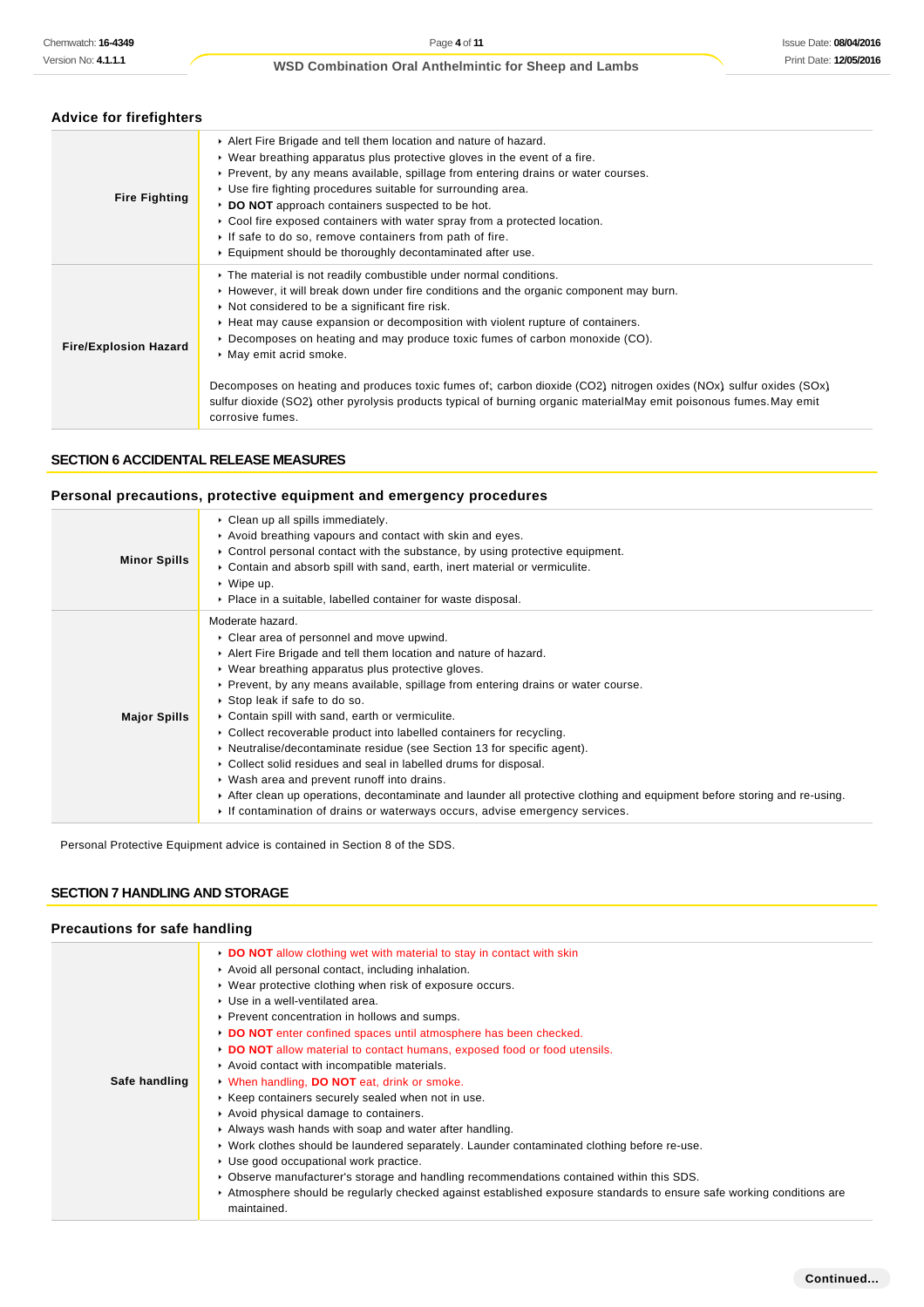## **Advice for firefighters**

| <b>Fire Fighting</b>         | Alert Fire Brigade and tell them location and nature of hazard.<br>$\triangleright$ Wear breathing apparatus plus protective gloves in the event of a fire.<br>► Prevent, by any means available, spillage from entering drains or water courses.<br>► Use fire fighting procedures suitable for surrounding area.<br>DO NOT approach containers suspected to be hot.<br>$\triangleright$ Cool fire exposed containers with water spray from a protected location.<br>If safe to do so, remove containers from path of fire.<br>Equipment should be thoroughly decontaminated after use.                                                                                                 |
|------------------------------|------------------------------------------------------------------------------------------------------------------------------------------------------------------------------------------------------------------------------------------------------------------------------------------------------------------------------------------------------------------------------------------------------------------------------------------------------------------------------------------------------------------------------------------------------------------------------------------------------------------------------------------------------------------------------------------|
| <b>Fire/Explosion Hazard</b> | The material is not readily combustible under normal conditions.<br>► However, it will break down under fire conditions and the organic component may burn.<br>Not considered to be a significant fire risk.<br>► Heat may cause expansion or decomposition with violent rupture of containers.<br>$\triangleright$ Decomposes on heating and may produce toxic fumes of carbon monoxide (CO).<br>▶ May emit acrid smoke.<br>Decomposes on heating and produces toxic fumes of; carbon dioxide (CO2) nitrogen oxides (NOx) sulfur oxides (SOx)<br>sulfur dioxide (SO2) other pyrolysis products typical of burning organic materialMay emit poisonous fumes.May emit<br>corrosive fumes. |

## **SECTION 6 ACCIDENTAL RELEASE MEASURES**

### **Personal precautions, protective equipment and emergency procedures**

| <b>Minor Spills</b> | Clean up all spills immediately.<br>Avoid breathing vapours and contact with skin and eyes.<br>$\triangleright$ Control personal contact with the substance, by using protective equipment.<br>► Contain and absorb spill with sand, earth, inert material or vermiculite.<br>$\triangleright$ Wipe up.<br>• Place in a suitable, labelled container for waste disposal.                                                                                                                                                                                                                                                                                                                                                                                                                                                                                          |
|---------------------|-------------------------------------------------------------------------------------------------------------------------------------------------------------------------------------------------------------------------------------------------------------------------------------------------------------------------------------------------------------------------------------------------------------------------------------------------------------------------------------------------------------------------------------------------------------------------------------------------------------------------------------------------------------------------------------------------------------------------------------------------------------------------------------------------------------------------------------------------------------------|
| <b>Major Spills</b> | Moderate hazard.<br>▶ Clear area of personnel and move upwind.<br>Alert Fire Brigade and tell them location and nature of hazard.<br>▶ Wear breathing apparatus plus protective gloves.<br>► Prevent, by any means available, spillage from entering drains or water course.<br>▶ Stop leak if safe to do so.<br>• Contain spill with sand, earth or vermiculite.<br>• Collect recoverable product into labelled containers for recycling.<br>$\triangleright$ Neutralise/decontaminate residue (see Section 13 for specific agent).<br>► Collect solid residues and seal in labelled drums for disposal.<br>▶ Wash area and prevent runoff into drains.<br>After clean up operations, decontaminate and launder all protective clothing and equipment before storing and re-using.<br>If contamination of drains or waterways occurs, advise emergency services. |

Personal Protective Equipment advice is contained in Section 8 of the SDS.

### **SECTION 7 HANDLING AND STORAGE**

### **Precautions for safe handling**

|               | • DO NOT allow clothing wet with material to stay in contact with skin<br>Avoid all personal contact, including inhalation.<br>• Wear protective clothing when risk of exposure occurs.<br>▶ Use in a well-ventilated area.<br>▶ Prevent concentration in hollows and sumps.                                                                                                                                                                                                                                                                                               |
|---------------|----------------------------------------------------------------------------------------------------------------------------------------------------------------------------------------------------------------------------------------------------------------------------------------------------------------------------------------------------------------------------------------------------------------------------------------------------------------------------------------------------------------------------------------------------------------------------|
|               | DO NOT enter confined spaces until atmosphere has been checked.<br>DO NOT allow material to contact humans, exposed food or food utensils.<br>Avoid contact with incompatible materials.                                                                                                                                                                                                                                                                                                                                                                                   |
| Safe handling | When handling, DO NOT eat, drink or smoke.<br>▶ Keep containers securely sealed when not in use.<br>Avoid physical damage to containers.<br>Always wash hands with soap and water after handling.<br>► Work clothes should be laundered separately. Launder contaminated clothing before re-use.<br>Use good occupational work practice.<br>► Observe manufacturer's storage and handling recommendations contained within this SDS.<br>Atmosphere should be regularly checked against established exposure standards to ensure safe working conditions are<br>maintained. |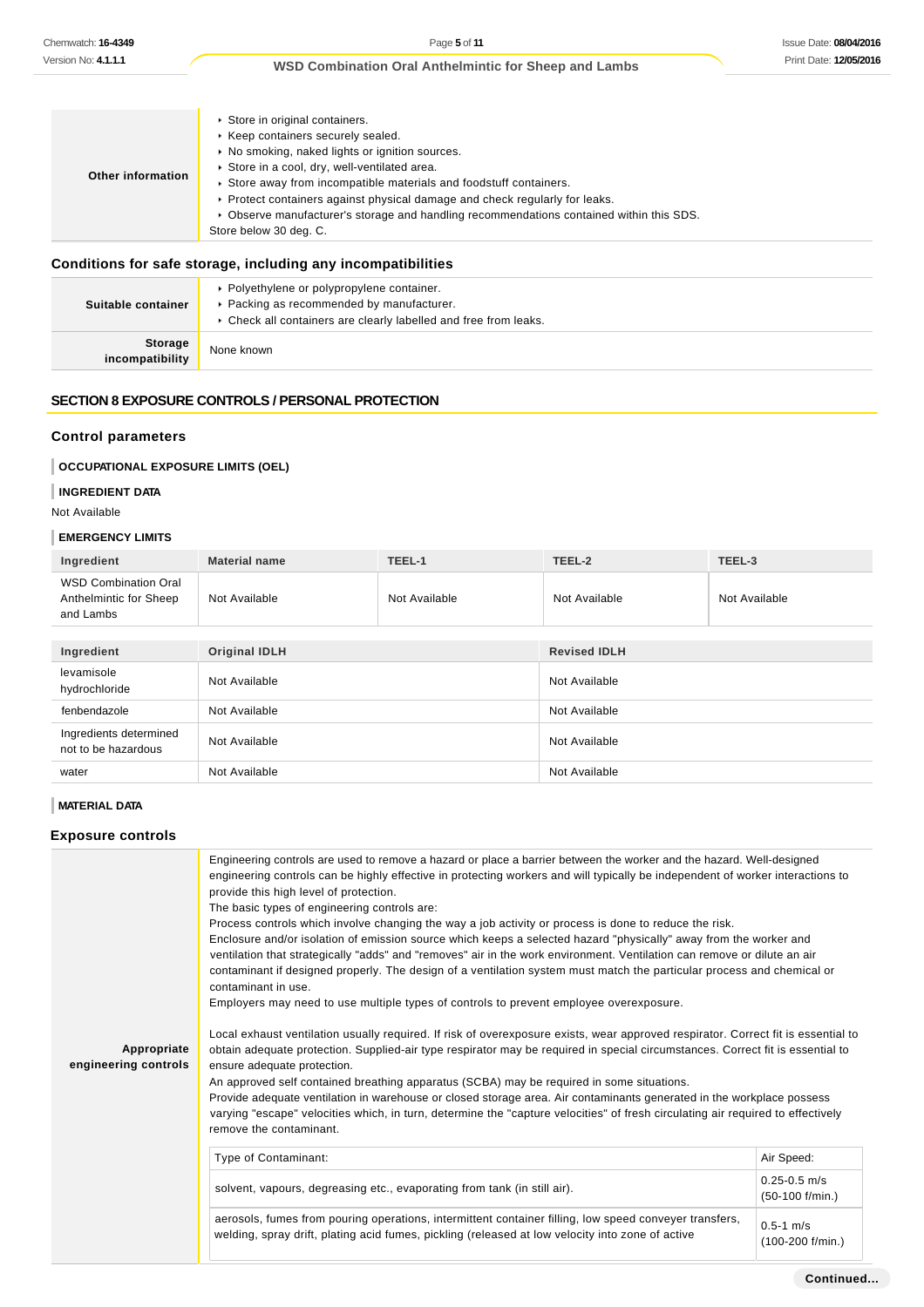| <b>Other information</b> | Store in original containers.<br>▶ Keep containers securely sealed.<br>▶ No smoking, naked lights or ignition sources.<br>Store in a cool, dry, well-ventilated area.<br>Store away from incompatible materials and foodstuff containers.<br>► Protect containers against physical damage and check regularly for leaks.<br>▶ Observe manufacturer's storage and handling recommendations contained within this SDS.<br>Store below 30 deg. C. |
|--------------------------|------------------------------------------------------------------------------------------------------------------------------------------------------------------------------------------------------------------------------------------------------------------------------------------------------------------------------------------------------------------------------------------------------------------------------------------------|
|--------------------------|------------------------------------------------------------------------------------------------------------------------------------------------------------------------------------------------------------------------------------------------------------------------------------------------------------------------------------------------------------------------------------------------------------------------------------------------|

## **Conditions for safe storage, including any incompatibilities**

| Suitable container         | • Polyethylene or polypropylene container.<br>▶ Packing as recommended by manufacturer.<br>• Check all containers are clearly labelled and free from leaks. |
|----------------------------|-------------------------------------------------------------------------------------------------------------------------------------------------------------|
| Storage<br>incompatibility | None known                                                                                                                                                  |

## **SECTION 8 EXPOSURE CONTROLS / PERSONAL PROTECTION**

### **Control parameters**

## **OCCUPATIONAL EXPOSURE LIMITS (OEL)**

### **INGREDIENT DATA**

Not Available

### **EMERGENCY LIMITS**

| Ingredient                                                         | <b>Material name</b> | TEEL-1        | TEEL-2              | TEEL-3        |
|--------------------------------------------------------------------|----------------------|---------------|---------------------|---------------|
| <b>WSD Combination Oral</b><br>Anthelmintic for Sheep<br>and Lambs | Not Available        | Not Available | Not Available       | Not Available |
|                                                                    |                      |               |                     |               |
| Ingredient                                                         | <b>Original IDLH</b> |               | <b>Revised IDLH</b> |               |
| levamisole<br>hydrochloride                                        | Not Available        |               | Not Available       |               |
| fenbendazole                                                       | Not Available        |               | Not Available       |               |
| Ingredients determined<br>not to be hazardous                      | Not Available        |               | Not Available       |               |
| water                                                              | Not Available        |               | Not Available       |               |

### **MATERIAL DATA**

### **Exposure controls**

| Appropriate<br>engineering controls | Engineering controls are used to remove a hazard or place a barrier between the worker and the hazard. Well-designed<br>engineering controls can be highly effective in protecting workers and will typically be independent of worker interactions to<br>provide this high level of protection.<br>The basic types of engineering controls are:<br>Process controls which involve changing the way a job activity or process is done to reduce the risk.<br>Enclosure and/or isolation of emission source which keeps a selected hazard "physically" away from the worker and<br>ventilation that strategically "adds" and "removes" air in the work environment. Ventilation can remove or dilute an air<br>contaminant if designed properly. The design of a ventilation system must match the particular process and chemical or<br>contaminant in use.<br>Employers may need to use multiple types of controls to prevent employee overexposure.<br>Local exhaust ventilation usually required. If risk of overexposure exists, wear approved respirator. Correct fit is essential to<br>obtain adequate protection. Supplied-air type respirator may be required in special circumstances. Correct fit is essential to<br>ensure adequate protection.<br>An approved self contained breathing apparatus (SCBA) may be required in some situations.<br>Provide adequate ventilation in warehouse or closed storage area. Air contaminants generated in the workplace possess<br>varying "escape" velocities which, in turn, determine the "capture velocities" of fresh circulating air required to effectively<br>remove the contaminant. |                                        |
|-------------------------------------|-------------------------------------------------------------------------------------------------------------------------------------------------------------------------------------------------------------------------------------------------------------------------------------------------------------------------------------------------------------------------------------------------------------------------------------------------------------------------------------------------------------------------------------------------------------------------------------------------------------------------------------------------------------------------------------------------------------------------------------------------------------------------------------------------------------------------------------------------------------------------------------------------------------------------------------------------------------------------------------------------------------------------------------------------------------------------------------------------------------------------------------------------------------------------------------------------------------------------------------------------------------------------------------------------------------------------------------------------------------------------------------------------------------------------------------------------------------------------------------------------------------------------------------------------------------------------------------------------------------------------------------------------|----------------------------------------|
|                                     | Type of Contaminant:                                                                                                                                                                                                                                                                                                                                                                                                                                                                                                                                                                                                                                                                                                                                                                                                                                                                                                                                                                                                                                                                                                                                                                                                                                                                                                                                                                                                                                                                                                                                                                                                                            | Air Speed:                             |
|                                     | solvent, vapours, degreasing etc., evaporating from tank (in still air).                                                                                                                                                                                                                                                                                                                                                                                                                                                                                                                                                                                                                                                                                                                                                                                                                                                                                                                                                                                                                                                                                                                                                                                                                                                                                                                                                                                                                                                                                                                                                                        | $0.25 - 0.5$ m/s<br>$(50-100)$ f/min.) |
|                                     | aerosols, fumes from pouring operations, intermittent container filling, low speed conveyer transfers,<br>welding, spray drift, plating acid fumes, pickling (released at low velocity into zone of active                                                                                                                                                                                                                                                                                                                                                                                                                                                                                                                                                                                                                                                                                                                                                                                                                                                                                                                                                                                                                                                                                                                                                                                                                                                                                                                                                                                                                                      | $0.5 - 1$ m/s<br>(100-200 f/min.)      |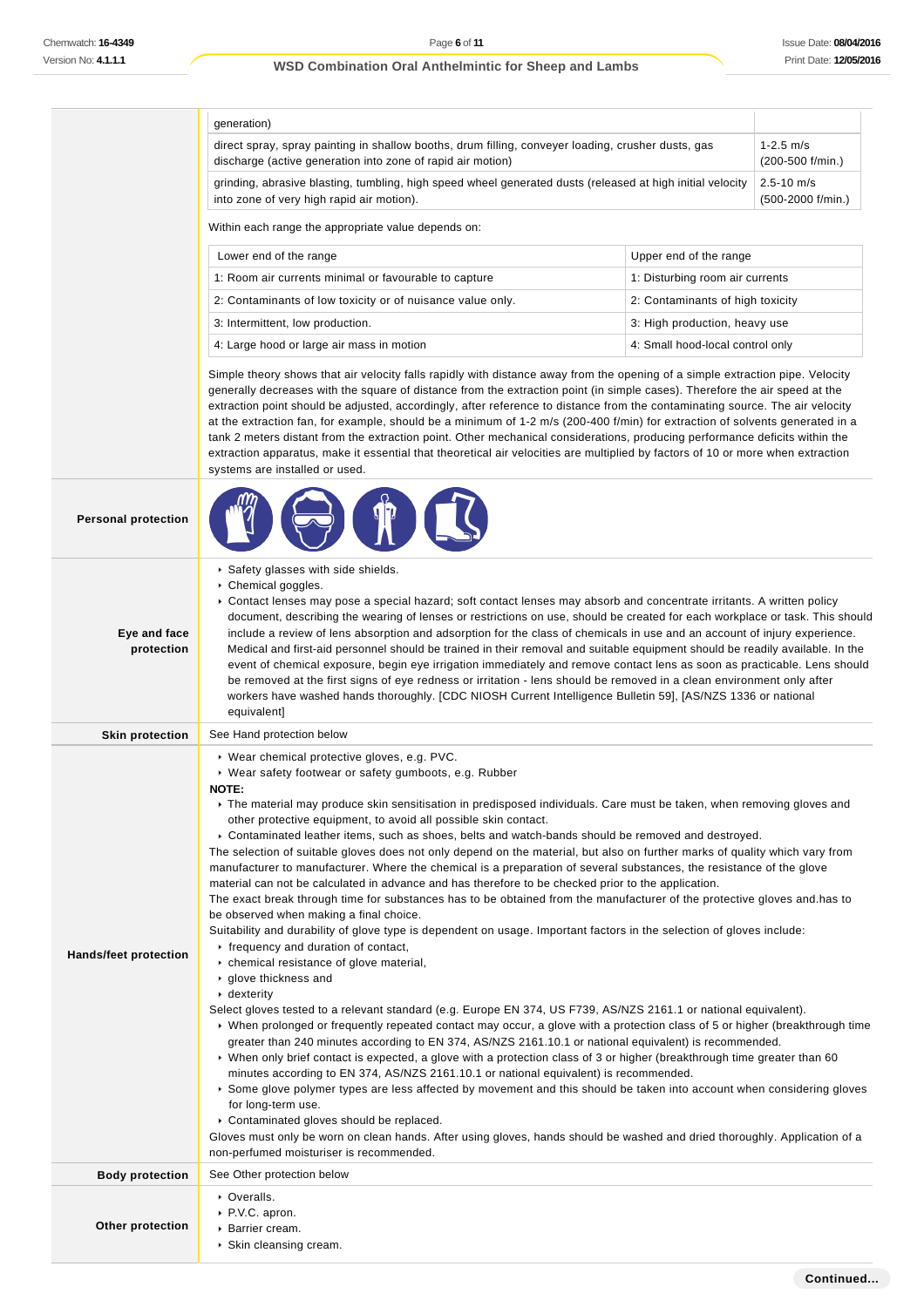|                            | generation)                                                                                                                                                                                                                                                                                                                                                                                                                                                                                                                                                                                                                                                                                                                                                                                                                                                                                                                                                                                                                                                                                                                                                                                                                                                                                                                                                                                                                                                                                                                                                                                                                                                                                                                                                                                                                                                                                                                                                                                                                                                                                                                            |                                   |  |
|----------------------------|----------------------------------------------------------------------------------------------------------------------------------------------------------------------------------------------------------------------------------------------------------------------------------------------------------------------------------------------------------------------------------------------------------------------------------------------------------------------------------------------------------------------------------------------------------------------------------------------------------------------------------------------------------------------------------------------------------------------------------------------------------------------------------------------------------------------------------------------------------------------------------------------------------------------------------------------------------------------------------------------------------------------------------------------------------------------------------------------------------------------------------------------------------------------------------------------------------------------------------------------------------------------------------------------------------------------------------------------------------------------------------------------------------------------------------------------------------------------------------------------------------------------------------------------------------------------------------------------------------------------------------------------------------------------------------------------------------------------------------------------------------------------------------------------------------------------------------------------------------------------------------------------------------------------------------------------------------------------------------------------------------------------------------------------------------------------------------------------------------------------------------------|-----------------------------------|--|
|                            | direct spray, spray painting in shallow booths, drum filling, conveyer loading, crusher dusts, gas<br>discharge (active generation into zone of rapid air motion)                                                                                                                                                                                                                                                                                                                                                                                                                                                                                                                                                                                                                                                                                                                                                                                                                                                                                                                                                                                                                                                                                                                                                                                                                                                                                                                                                                                                                                                                                                                                                                                                                                                                                                                                                                                                                                                                                                                                                                      | $1 - 2.5$ m/s<br>(200-500 f/min.) |  |
|                            | grinding, abrasive blasting, tumbling, high speed wheel generated dusts (released at high initial velocity<br>$2.5 - 10$ m/s<br>into zone of very high rapid air motion).<br>(500-2000 f/min.)                                                                                                                                                                                                                                                                                                                                                                                                                                                                                                                                                                                                                                                                                                                                                                                                                                                                                                                                                                                                                                                                                                                                                                                                                                                                                                                                                                                                                                                                                                                                                                                                                                                                                                                                                                                                                                                                                                                                         |                                   |  |
|                            | Within each range the appropriate value depends on:                                                                                                                                                                                                                                                                                                                                                                                                                                                                                                                                                                                                                                                                                                                                                                                                                                                                                                                                                                                                                                                                                                                                                                                                                                                                                                                                                                                                                                                                                                                                                                                                                                                                                                                                                                                                                                                                                                                                                                                                                                                                                    |                                   |  |
|                            | Lower end of the range<br>Upper end of the range                                                                                                                                                                                                                                                                                                                                                                                                                                                                                                                                                                                                                                                                                                                                                                                                                                                                                                                                                                                                                                                                                                                                                                                                                                                                                                                                                                                                                                                                                                                                                                                                                                                                                                                                                                                                                                                                                                                                                                                                                                                                                       |                                   |  |
|                            | 1: Room air currents minimal or favourable to capture<br>1: Disturbing room air currents                                                                                                                                                                                                                                                                                                                                                                                                                                                                                                                                                                                                                                                                                                                                                                                                                                                                                                                                                                                                                                                                                                                                                                                                                                                                                                                                                                                                                                                                                                                                                                                                                                                                                                                                                                                                                                                                                                                                                                                                                                               |                                   |  |
|                            | 2: Contaminants of low toxicity or of nuisance value only.<br>2: Contaminants of high toxicity                                                                                                                                                                                                                                                                                                                                                                                                                                                                                                                                                                                                                                                                                                                                                                                                                                                                                                                                                                                                                                                                                                                                                                                                                                                                                                                                                                                                                                                                                                                                                                                                                                                                                                                                                                                                                                                                                                                                                                                                                                         |                                   |  |
|                            | 3: Intermittent, low production.<br>3: High production, heavy use                                                                                                                                                                                                                                                                                                                                                                                                                                                                                                                                                                                                                                                                                                                                                                                                                                                                                                                                                                                                                                                                                                                                                                                                                                                                                                                                                                                                                                                                                                                                                                                                                                                                                                                                                                                                                                                                                                                                                                                                                                                                      |                                   |  |
|                            | 4: Small hood-local control only<br>4: Large hood or large air mass in motion                                                                                                                                                                                                                                                                                                                                                                                                                                                                                                                                                                                                                                                                                                                                                                                                                                                                                                                                                                                                                                                                                                                                                                                                                                                                                                                                                                                                                                                                                                                                                                                                                                                                                                                                                                                                                                                                                                                                                                                                                                                          |                                   |  |
|                            | Simple theory shows that air velocity falls rapidly with distance away from the opening of a simple extraction pipe. Velocity<br>generally decreases with the square of distance from the extraction point (in simple cases). Therefore the air speed at the<br>extraction point should be adjusted, accordingly, after reference to distance from the contaminating source. The air velocity<br>at the extraction fan, for example, should be a minimum of 1-2 m/s (200-400 f/min) for extraction of solvents generated in a<br>tank 2 meters distant from the extraction point. Other mechanical considerations, producing performance deficits within the<br>extraction apparatus, make it essential that theoretical air velocities are multiplied by factors of 10 or more when extraction<br>systems are installed or used.                                                                                                                                                                                                                                                                                                                                                                                                                                                                                                                                                                                                                                                                                                                                                                                                                                                                                                                                                                                                                                                                                                                                                                                                                                                                                                      |                                   |  |
| <b>Personal protection</b> |                                                                                                                                                                                                                                                                                                                                                                                                                                                                                                                                                                                                                                                                                                                                                                                                                                                                                                                                                                                                                                                                                                                                                                                                                                                                                                                                                                                                                                                                                                                                                                                                                                                                                                                                                                                                                                                                                                                                                                                                                                                                                                                                        |                                   |  |
| Eye and face<br>protection | Safety glasses with side shields.<br>▶ Chemical goggles.<br>▶ Contact lenses may pose a special hazard; soft contact lenses may absorb and concentrate irritants. A written policy<br>document, describing the wearing of lenses or restrictions on use, should be created for each workplace or task. This should<br>include a review of lens absorption and adsorption for the class of chemicals in use and an account of injury experience.<br>Medical and first-aid personnel should be trained in their removal and suitable equipment should be readily available. In the<br>event of chemical exposure, begin eye irrigation immediately and remove contact lens as soon as practicable. Lens should<br>be removed at the first signs of eye redness or irritation - lens should be removed in a clean environment only after<br>workers have washed hands thoroughly. [CDC NIOSH Current Intelligence Bulletin 59], [AS/NZS 1336 or national<br>equivalent]                                                                                                                                                                                                                                                                                                                                                                                                                                                                                                                                                                                                                                                                                                                                                                                                                                                                                                                                                                                                                                                                                                                                                                   |                                   |  |
| <b>Skin protection</b>     | See Hand protection below                                                                                                                                                                                                                                                                                                                                                                                                                                                                                                                                                                                                                                                                                                                                                                                                                                                                                                                                                                                                                                                                                                                                                                                                                                                                                                                                                                                                                                                                                                                                                                                                                                                                                                                                                                                                                                                                                                                                                                                                                                                                                                              |                                   |  |
| Hands/feet protection      | ▶ Wear chemical protective gloves, e.g. PVC.<br>▶ Wear safety footwear or safety gumboots, e.g. Rubber<br><b>NOTE:</b><br>▶ The material may produce skin sensitisation in predisposed individuals. Care must be taken, when removing gloves and<br>other protective equipment, to avoid all possible skin contact.<br>▶ Contaminated leather items, such as shoes, belts and watch-bands should be removed and destroyed.<br>The selection of suitable gloves does not only depend on the material, but also on further marks of quality which vary from<br>manufacturer to manufacturer. Where the chemical is a preparation of several substances, the resistance of the glove<br>material can not be calculated in advance and has therefore to be checked prior to the application.<br>The exact break through time for substances has to be obtained from the manufacturer of the protective gloves and has to<br>be observed when making a final choice.<br>Suitability and durability of glove type is dependent on usage. Important factors in the selection of gloves include:<br>r frequency and duration of contact,<br>• chemical resistance of glove material,<br>▶ glove thickness and<br>$\cdot$ dexterity<br>Select gloves tested to a relevant standard (e.g. Europe EN 374, US F739, AS/NZS 2161.1 or national equivalent).<br>▶ When prolonged or frequently repeated contact may occur, a glove with a protection class of 5 or higher (breakthrough time<br>greater than 240 minutes according to EN 374, AS/NZS 2161.10.1 or national equivalent) is recommended.<br>► When only brief contact is expected, a glove with a protection class of 3 or higher (breakthrough time greater than 60<br>minutes according to EN 374, AS/NZS 2161.10.1 or national equivalent) is recommended.<br>▶ Some glove polymer types are less affected by movement and this should be taken into account when considering gloves<br>for long-term use.<br>Contaminated gloves should be replaced.<br>Gloves must only be worn on clean hands. After using gloves, hands should be washed and dried thoroughly. Application of a |                                   |  |
| <b>Body protection</b>     | non-perfumed moisturiser is recommended.<br>See Other protection below                                                                                                                                                                                                                                                                                                                                                                                                                                                                                                                                                                                                                                                                                                                                                                                                                                                                                                                                                                                                                                                                                                                                                                                                                                                                                                                                                                                                                                                                                                                                                                                                                                                                                                                                                                                                                                                                                                                                                                                                                                                                 |                                   |  |
|                            | • Overalls.                                                                                                                                                                                                                                                                                                                                                                                                                                                                                                                                                                                                                                                                                                                                                                                                                                                                                                                                                                                                                                                                                                                                                                                                                                                                                                                                                                                                                                                                                                                                                                                                                                                                                                                                                                                                                                                                                                                                                                                                                                                                                                                            |                                   |  |
| Other protection           | ▶ P.V.C. apron.<br>▶ Barrier cream.<br>▶ Skin cleansing cream.                                                                                                                                                                                                                                                                                                                                                                                                                                                                                                                                                                                                                                                                                                                                                                                                                                                                                                                                                                                                                                                                                                                                                                                                                                                                                                                                                                                                                                                                                                                                                                                                                                                                                                                                                                                                                                                                                                                                                                                                                                                                         |                                   |  |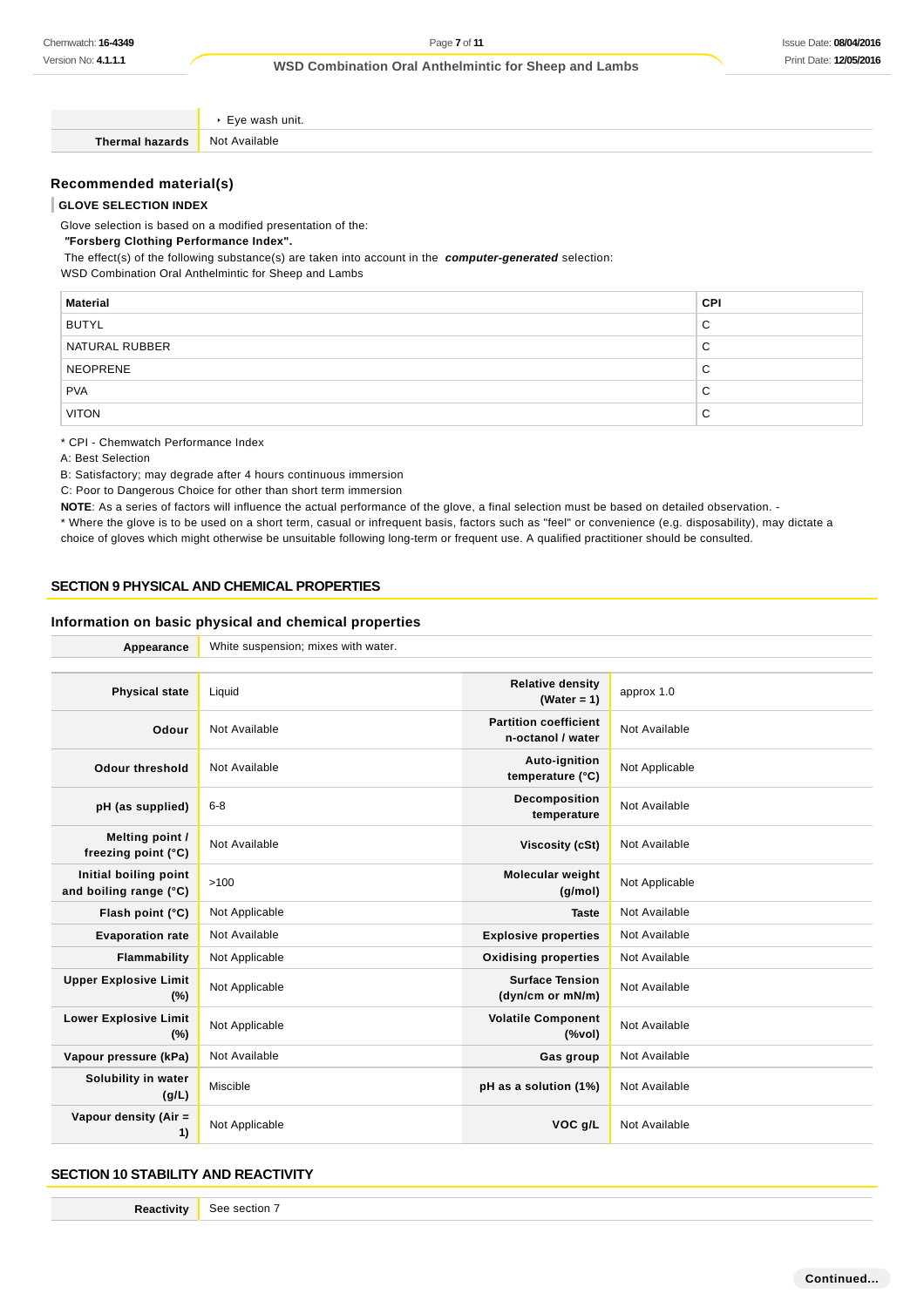Eye wash unit. **Thermal hazards** Not Available **Recommended material(s) GLOVE SELECTION INDEX** Glove selection is based on a modified presentation of the:

 **"Forsberg Clothing Performance Index".**

The effect(s) of the following substance(s) are taken into account in the **computer-generated** selection:

WSD Combination Oral Anthelmintic for Sheep and Lambs

| <b>Material</b> | <b>CPI</b>  |
|-----------------|-------------|
| <b>BUTYL</b>    | C           |
| NATURAL RUBBER  | C           |
| <b>NEOPRENE</b> | C           |
| <b>PVA</b>      | С           |
| <b>VITON</b>    | $\sim$<br>◡ |

\* CPI - Chemwatch Performance Index

A: Best Selection

B: Satisfactory; may degrade after 4 hours continuous immersion

C: Poor to Dangerous Choice for other than short term immersion

NOTE: As a series of factors will influence the actual performance of the glove, a final selection must be based on detailed observation. -

\* Where the glove is to be used on a short term, casual or infrequent basis, factors such as "feel" or convenience (e.g. disposability), may dictate a choice of gloves which might otherwise be unsuitable following long-term or frequent use. A qualified practitioner should be consulted.

### **SECTION 9 PHYSICAL AND CHEMICAL PROPERTIES**

#### **Information on basic physical and chemical properties**

| Appearance                                      | White suspension; mixes with water. |                                                                               |                |
|-------------------------------------------------|-------------------------------------|-------------------------------------------------------------------------------|----------------|
|                                                 |                                     |                                                                               |                |
| <b>Physical state</b>                           | Liquid                              | <b>Relative density</b><br>(Water = $1$ )                                     | approx 1.0     |
| Odour                                           | Not Available                       | <b>Partition coefficient</b><br>n-octanol / water                             | Not Available  |
| <b>Odour threshold</b>                          | Not Available                       | Auto-ignition<br>temperature (°C)                                             | Not Applicable |
| pH (as supplied)                                | $6 - 8$                             | Decomposition<br>temperature                                                  | Not Available  |
| Melting point /<br>freezing point (°C)          | Not Available                       | Viscosity (cSt)                                                               | Not Available  |
| Initial boiling point<br>and boiling range (°C) | >100                                | <b>Molecular weight</b><br>(g/mol)                                            | Not Applicable |
| Flash point (°C)                                | Not Applicable                      | <b>Taste</b>                                                                  | Not Available  |
| <b>Evaporation rate</b>                         | Not Available                       | <b>Explosive properties</b>                                                   | Not Available  |
| <b>Flammability</b>                             | Not Applicable                      | <b>Oxidising properties</b>                                                   | Not Available  |
| <b>Upper Explosive Limit</b><br>(%)             | Not Applicable                      | <b>Surface Tension</b><br>(dyn/cm or mN/m)                                    | Not Available  |
| <b>Lower Explosive Limit</b><br>(%)             | Not Applicable                      | <b>Volatile Component</b><br>$(% \mathcal{L}^{\prime }\mathcal{N}^{\prime })$ | Not Available  |
| Vapour pressure (kPa)                           | Not Available                       | Gas group                                                                     | Not Available  |
| Solubility in water<br>(g/L)                    | Miscible                            | pH as a solution (1%)                                                         | Not Available  |
| Vapour density (Air =<br>1)                     | Not Applicable                      | VOC g/L                                                                       | Not Available  |

#### **SECTION 10 STABILITY AND REACTIVITY**

**Reactivity** See section 7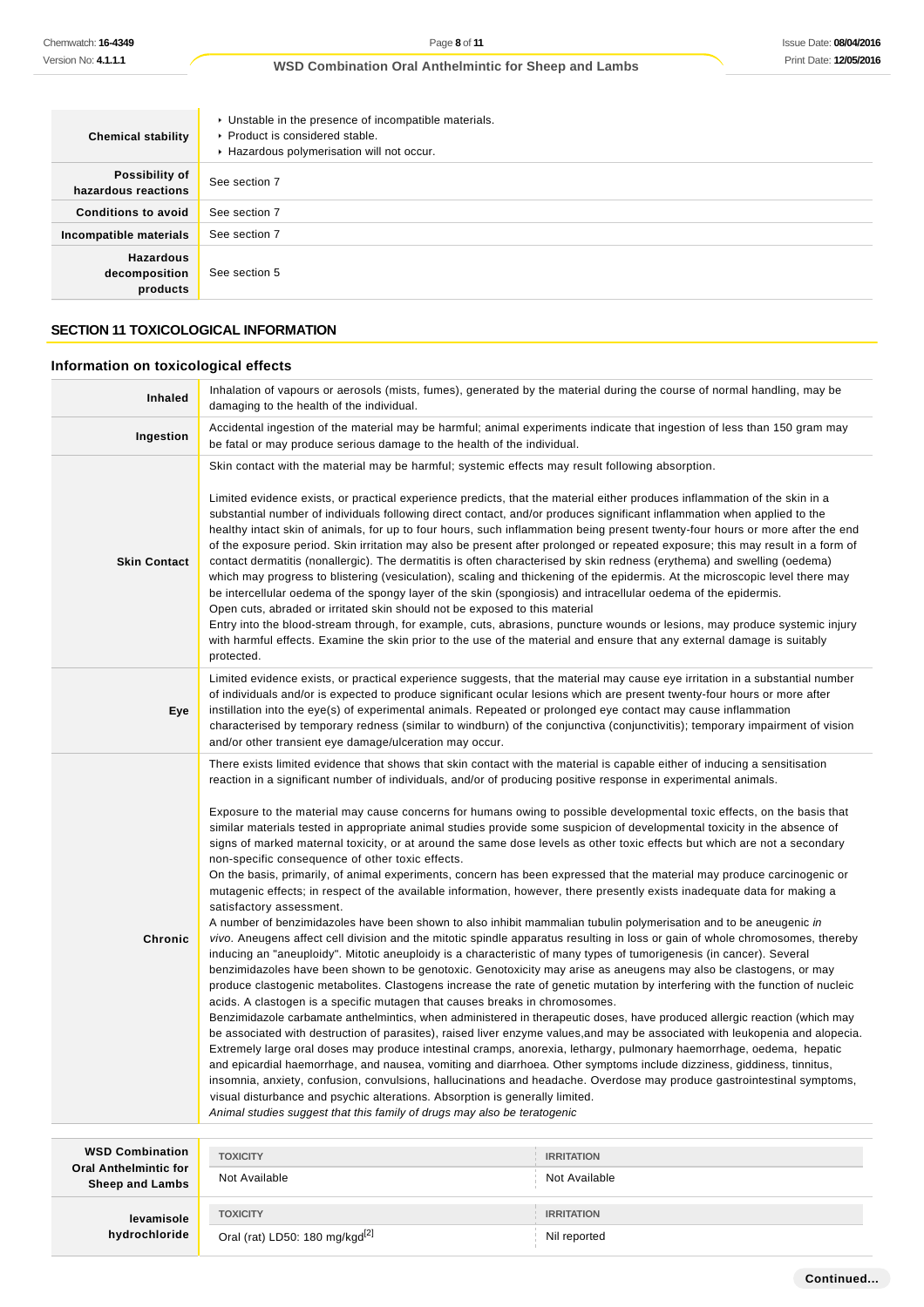| <b>Chemical stability</b>                     | • Unstable in the presence of incompatible materials.<br>▶ Product is considered stable.<br>Hazardous polymerisation will not occur. |
|-----------------------------------------------|--------------------------------------------------------------------------------------------------------------------------------------|
| Possibility of<br>hazardous reactions         | See section 7                                                                                                                        |
| <b>Conditions to avoid</b>                    | See section 7                                                                                                                        |
| Incompatible materials                        | See section 7                                                                                                                        |
| <b>Hazardous</b><br>decomposition<br>products | See section 5                                                                                                                        |

### **SECTION 11 TOXICOLOGICAL INFORMATION**

### **Information on toxicological effects**

**hydrochloride**

| <b>Inhaled</b>                                         | Inhalation of vapours or aerosols (mists, fumes), generated by the material during the course of normal handling, may be<br>damaging to the health of the individual.                                                                                                                                                                                                                                                                                                                                                                                                                                                                                                                                                                                                                                                                                                                                                                                                                                                                                                                                                                                                                                                                                                                                                                                                                                                                                                                                                                                                                                                                                                                                                                                                                                                                                                                                                                                                                                                                                                                                                                                                                                                                                                                                                                                                                                                                                                                                 |                                    |  |
|--------------------------------------------------------|-------------------------------------------------------------------------------------------------------------------------------------------------------------------------------------------------------------------------------------------------------------------------------------------------------------------------------------------------------------------------------------------------------------------------------------------------------------------------------------------------------------------------------------------------------------------------------------------------------------------------------------------------------------------------------------------------------------------------------------------------------------------------------------------------------------------------------------------------------------------------------------------------------------------------------------------------------------------------------------------------------------------------------------------------------------------------------------------------------------------------------------------------------------------------------------------------------------------------------------------------------------------------------------------------------------------------------------------------------------------------------------------------------------------------------------------------------------------------------------------------------------------------------------------------------------------------------------------------------------------------------------------------------------------------------------------------------------------------------------------------------------------------------------------------------------------------------------------------------------------------------------------------------------------------------------------------------------------------------------------------------------------------------------------------------------------------------------------------------------------------------------------------------------------------------------------------------------------------------------------------------------------------------------------------------------------------------------------------------------------------------------------------------------------------------------------------------------------------------------------------------|------------------------------------|--|
| Ingestion                                              | Accidental ingestion of the material may be harmful; animal experiments indicate that ingestion of less than 150 gram may<br>be fatal or may produce serious damage to the health of the individual.                                                                                                                                                                                                                                                                                                                                                                                                                                                                                                                                                                                                                                                                                                                                                                                                                                                                                                                                                                                                                                                                                                                                                                                                                                                                                                                                                                                                                                                                                                                                                                                                                                                                                                                                                                                                                                                                                                                                                                                                                                                                                                                                                                                                                                                                                                  |                                    |  |
| <b>Skin Contact</b>                                    | Skin contact with the material may be harmful; systemic effects may result following absorption.<br>Limited evidence exists, or practical experience predicts, that the material either produces inflammation of the skin in a<br>substantial number of individuals following direct contact, and/or produces significant inflammation when applied to the<br>healthy intact skin of animals, for up to four hours, such inflammation being present twenty-four hours or more after the end<br>of the exposure period. Skin irritation may also be present after prolonged or repeated exposure; this may result in a form of<br>contact dermatitis (nonallergic). The dermatitis is often characterised by skin redness (erythema) and swelling (oedema)<br>which may progress to blistering (vesiculation), scaling and thickening of the epidermis. At the microscopic level there may<br>be intercellular oedema of the spongy layer of the skin (spongiosis) and intracellular oedema of the epidermis.<br>Open cuts, abraded or irritated skin should not be exposed to this material<br>Entry into the blood-stream through, for example, cuts, abrasions, puncture wounds or lesions, may produce systemic injury<br>with harmful effects. Examine the skin prior to the use of the material and ensure that any external damage is suitably<br>protected.                                                                                                                                                                                                                                                                                                                                                                                                                                                                                                                                                                                                                                                                                                                                                                                                                                                                                                                                                                                                                                                                                                                                    |                                    |  |
| Eye                                                    | Limited evidence exists, or practical experience suggests, that the material may cause eye irritation in a substantial number<br>of individuals and/or is expected to produce significant ocular lesions which are present twenty-four hours or more after<br>instillation into the eye(s) of experimental animals. Repeated or prolonged eye contact may cause inflammation<br>characterised by temporary redness (similar to windburn) of the conjunctiva (conjunctivitis); temporary impairment of vision<br>and/or other transient eye damage/ulceration may occur.                                                                                                                                                                                                                                                                                                                                                                                                                                                                                                                                                                                                                                                                                                                                                                                                                                                                                                                                                                                                                                                                                                                                                                                                                                                                                                                                                                                                                                                                                                                                                                                                                                                                                                                                                                                                                                                                                                                               |                                    |  |
| Chronic                                                | There exists limited evidence that shows that skin contact with the material is capable either of inducing a sensitisation<br>reaction in a significant number of individuals, and/or of producing positive response in experimental animals.<br>Exposure to the material may cause concerns for humans owing to possible developmental toxic effects, on the basis that<br>similar materials tested in appropriate animal studies provide some suspicion of developmental toxicity in the absence of<br>signs of marked maternal toxicity, or at around the same dose levels as other toxic effects but which are not a secondary<br>non-specific consequence of other toxic effects.<br>On the basis, primarily, of animal experiments, concern has been expressed that the material may produce carcinogenic or<br>mutagenic effects; in respect of the available information, however, there presently exists inadequate data for making a<br>satisfactory assessment.<br>A number of benzimidazoles have been shown to also inhibit mammalian tubulin polymerisation and to be aneugenic in<br>vivo. Aneugens affect cell division and the mitotic spindle apparatus resulting in loss or gain of whole chromosomes, thereby<br>inducing an "aneuploidy". Mitotic aneuploidy is a characteristic of many types of tumorigenesis (in cancer). Several<br>benzimidazoles have been shown to be genotoxic. Genotoxicity may arise as aneugens may also be clastogens, or may<br>produce clastogenic metabolites. Clastogens increase the rate of genetic mutation by interfering with the function of nucleic<br>acids. A clastogen is a specific mutagen that causes breaks in chromosomes.<br>Benzimidazole carbamate anthelmintics, when administered in therapeutic doses, have produced allergic reaction (which may<br>be associated with destruction of parasites), raised liver enzyme values, and may be associated with leukopenia and alopecia.<br>Extremely large oral doses may produce intestinal cramps, anorexia, lethargy, pulmonary haemorrhage, oedema, hepatic<br>and epicardial haemorrhage, and nausea, vomiting and diarrhoea. Other symptoms include dizziness, giddiness, tinnitus,<br>insomnia, anxiety, confusion, convulsions, hallucinations and headache. Overdose may produce gastrointestinal symptoms,<br>visual disturbance and psychic alterations. Absorption is generally limited.<br>Animal studies suggest that this family of drugs may also be teratogenic |                                    |  |
| <b>WSD Combination</b><br><b>Oral Anthelmintic for</b> | <b>TOXICITY</b><br>Not Available                                                                                                                                                                                                                                                                                                                                                                                                                                                                                                                                                                                                                                                                                                                                                                                                                                                                                                                                                                                                                                                                                                                                                                                                                                                                                                                                                                                                                                                                                                                                                                                                                                                                                                                                                                                                                                                                                                                                                                                                                                                                                                                                                                                                                                                                                                                                                                                                                                                                      | <b>IRRITATION</b><br>Not Available |  |
| <b>Sheep and Lambs</b><br>levamisole                   | <b>TOXICITY</b>                                                                                                                                                                                                                                                                                                                                                                                                                                                                                                                                                                                                                                                                                                                                                                                                                                                                                                                                                                                                                                                                                                                                                                                                                                                                                                                                                                                                                                                                                                                                                                                                                                                                                                                                                                                                                                                                                                                                                                                                                                                                                                                                                                                                                                                                                                                                                                                                                                                                                       | <b>IRRITATION</b>                  |  |

Oral (rat) LD50: 180 mg/kgd<sup>[2]</sup> Nil reported

**Continued...**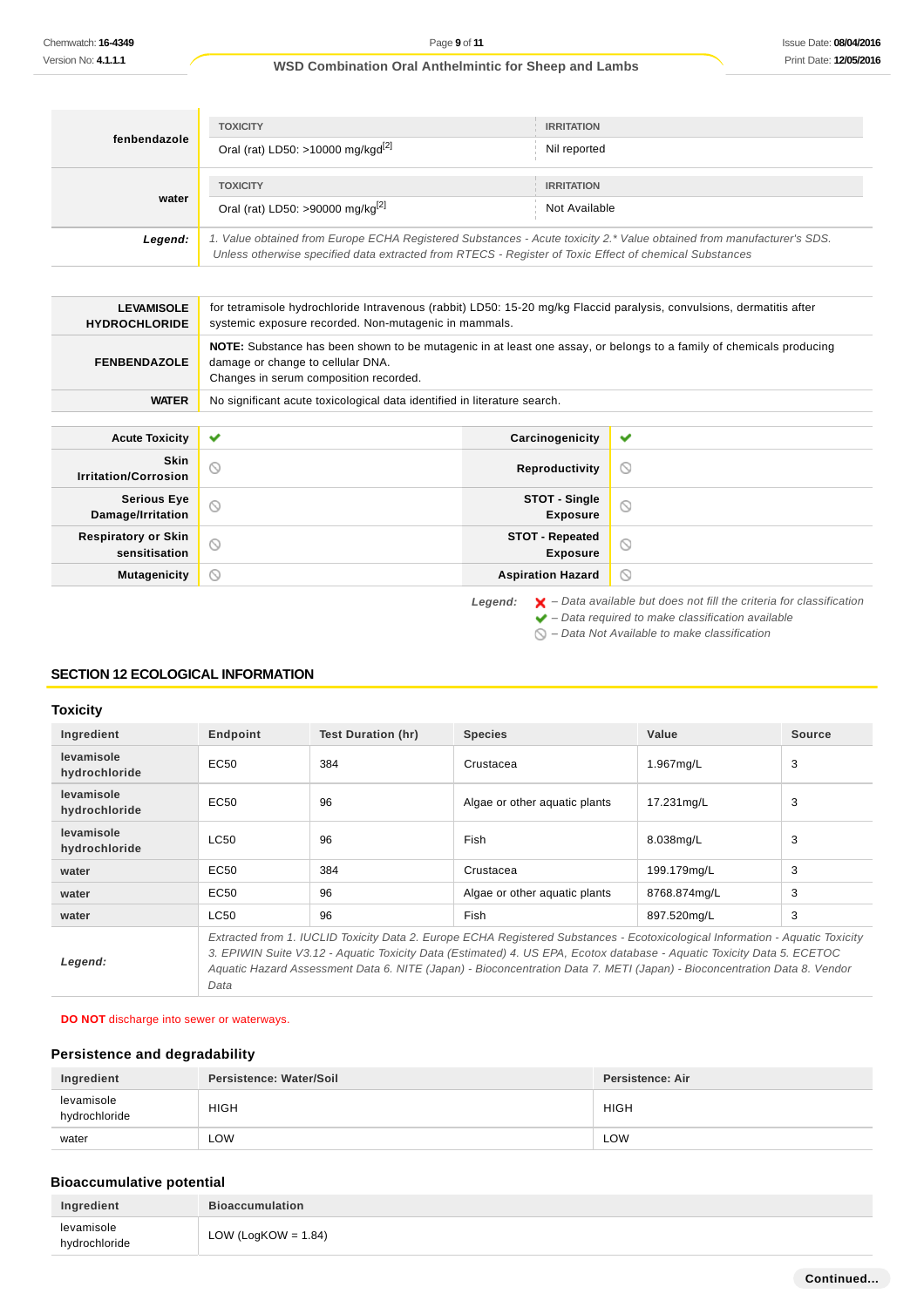| fenbendazole | <b>TOXICITY</b><br>Oral (rat) LD50: >10000 mg/kgd <sup>[2]</sup>                                                                                                                                                                | <b>IRRITATION</b><br>Nil reported  |
|--------------|---------------------------------------------------------------------------------------------------------------------------------------------------------------------------------------------------------------------------------|------------------------------------|
| water        | <b>TOXICITY</b><br>Oral (rat) LD50: >90000 mg/kg <sup>[2]</sup>                                                                                                                                                                 | <b>IRRITATION</b><br>Not Available |
| Legend:      | 1. Value obtained from Europe ECHA Registered Substances - Acute toxicity 2.* Value obtained from manufacturer's SDS.<br>Unless otherwise specified data extracted from RTECS - Register of Toxic Effect of chemical Substances |                                    |

| <b>LEVAMISOLE</b><br><b>HYDROCHLORIDE</b>   | for tetramisole hydrochloride Intravenous (rabbit) LD50: 15-20 mg/kg Flaccid paralysis, convulsions, dermatitis after<br>systemic exposure recorded. Non-mutagenic in mammals.                     |                                           |         |
|---------------------------------------------|----------------------------------------------------------------------------------------------------------------------------------------------------------------------------------------------------|-------------------------------------------|---------|
| <b>FENBENDAZOLE</b>                         | NOTE: Substance has been shown to be mutagenic in at least one assay, or belongs to a family of chemicals producing<br>damage or change to cellular DNA.<br>Changes in serum composition recorded. |                                           |         |
| <b>WATER</b>                                | No significant acute toxicological data identified in literature search.                                                                                                                           |                                           |         |
| <b>Acute Toxicity</b>                       | ✔                                                                                                                                                                                                  | Carcinogenicity                           | ✔       |
| <b>Skin</b><br><b>Irritation/Corrosion</b>  | ⊚                                                                                                                                                                                                  | Reproductivity                            | ◎       |
| <b>Serious Eye</b><br>Damage/Irritation     | 0                                                                                                                                                                                                  | STOT - Single<br><b>Exposure</b>          | $\circ$ |
| <b>Respiratory or Skin</b><br>sensitisation | $\circledcirc$                                                                                                                                                                                     | <b>STOT - Repeated</b><br><b>Exposure</b> | $\circ$ |
| <b>Mutagenicity</b>                         | ∾                                                                                                                                                                                                  | <b>Aspiration Hazard</b>                  | $\circ$ |

 $\bigcirc$  – Data Not Available to make classification

### **SECTION 12 ECOLOGICAL INFORMATION**

### **Toxicity**

| Ingredient                  | Endpoint                                                                                                                                                                                                                                                                                                                                                                                    | Test Duration (hr) | <b>Species</b>                | Value        | Source |
|-----------------------------|---------------------------------------------------------------------------------------------------------------------------------------------------------------------------------------------------------------------------------------------------------------------------------------------------------------------------------------------------------------------------------------------|--------------------|-------------------------------|--------------|--------|
| levamisole<br>hydrochloride | EC <sub>50</sub>                                                                                                                                                                                                                                                                                                                                                                            | 384                | Crustacea                     | 1.967mg/L    | 3      |
| levamisole<br>hydrochloride | EC <sub>50</sub>                                                                                                                                                                                                                                                                                                                                                                            | 96                 | Algae or other aquatic plants | 17.231mg/L   | 3      |
| levamisole<br>hydrochloride | <b>LC50</b>                                                                                                                                                                                                                                                                                                                                                                                 | 96                 | Fish                          | 8.038mg/L    | 3      |
| water                       | EC50                                                                                                                                                                                                                                                                                                                                                                                        | 384                | Crustacea                     | 199.179mg/L  | 3      |
| water                       | EC50                                                                                                                                                                                                                                                                                                                                                                                        | 96                 | Algae or other aguatic plants | 8768.874mg/L | 3      |
| water                       | <b>LC50</b>                                                                                                                                                                                                                                                                                                                                                                                 | 96                 | Fish                          | 897.520mg/L  | 3      |
| Legend:                     | Extracted from 1. IUCLID Toxicity Data 2. Europe ECHA Registered Substances - Ecotoxicological Information - Aquatic Toxicity<br>3. EPIWIN Suite V3.12 - Aquatic Toxicity Data (Estimated) 4. US EPA, Ecotox database - Aquatic Toxicity Data 5. ECETOC<br>Aquatic Hazard Assessment Data 6. NITE (Japan) - Bioconcentration Data 7. METI (Japan) - Bioconcentration Data 8. Vendor<br>Data |                    |                               |              |        |

### **DO NOT** discharge into sewer or waterways.

### **Persistence and degradability**

| Ingredient                  | Persistence: Water/Soil | Persistence: Air |
|-----------------------------|-------------------------|------------------|
| levamisole<br>hydrochloride | <b>HIGH</b>             | <b>HIGH</b>      |
| water                       | LOW                     | LOW              |

## **Bioaccumulative potential**

| Ingredient                  | <b>Bioaccumulation</b> |
|-----------------------------|------------------------|
| levamisole<br>hydrochloride | LOW (LogKOW = $1.84$ ) |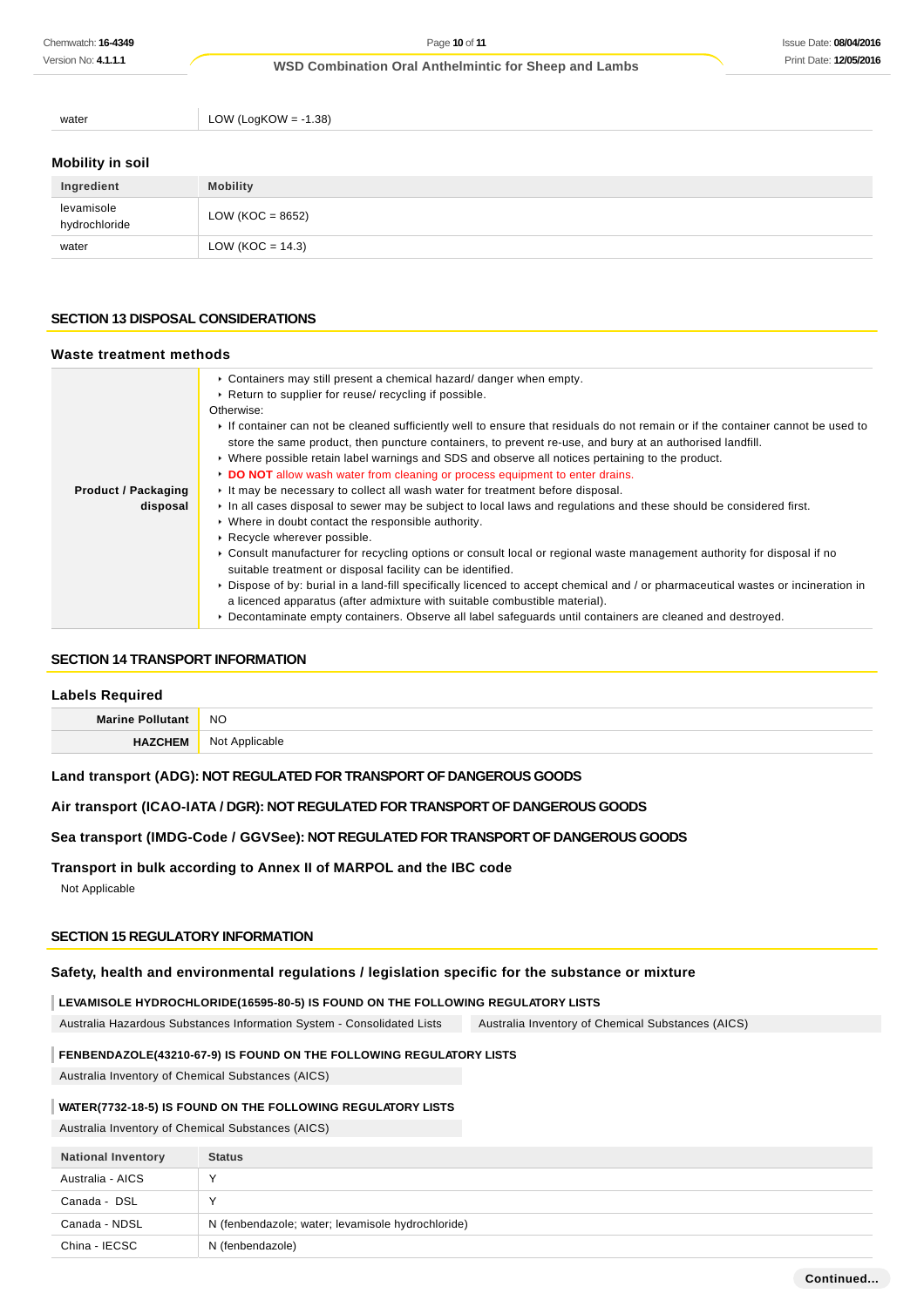water  $LOW (LogKOW = -1.38)$ 

## **Mobility in soil**

| Ingredient                  | <b>Mobility</b>     |
|-----------------------------|---------------------|
| levamisole<br>hydrochloride | LOW (KOC = $8652$ ) |
| water                       | LOW (KOC = $14.3$ ) |

### **SECTION 13 DISPOSAL CONSIDERATIONS**

### **Waste treatment methods**

|                            | ► Containers may still present a chemical hazard/ danger when empty.                                                              |  |
|----------------------------|-----------------------------------------------------------------------------------------------------------------------------------|--|
|                            | ▶ Return to supplier for reuse/ recycling if possible.                                                                            |  |
|                            | Otherwise:                                                                                                                        |  |
|                            | If container can not be cleaned sufficiently well to ensure that residuals do not remain or if the container cannot be used to    |  |
|                            | store the same product, then puncture containers, to prevent re-use, and bury at an authorised landfill.                          |  |
|                            | ► Where possible retain label warnings and SDS and observe all notices pertaining to the product.                                 |  |
|                            | DO NOT allow wash water from cleaning or process equipment to enter drains.                                                       |  |
| <b>Product / Packaging</b> | If the may be necessary to collect all wash water for treatment before disposal.                                                  |  |
| disposal                   | In all cases disposal to sewer may be subject to local laws and regulations and these should be considered first.                 |  |
|                            | • Where in doubt contact the responsible authority.                                                                               |  |
|                            | Recycle wherever possible.                                                                                                        |  |
|                            | ► Consult manufacturer for recycling options or consult local or regional waste management authority for disposal if no           |  |
|                            | suitable treatment or disposal facility can be identified.                                                                        |  |
|                            | ▶ Dispose of by: burial in a land-fill specifically licenced to accept chemical and / or pharmaceutical wastes or incineration in |  |
|                            | a licenced apparatus (after admixture with suitable combustible material).                                                        |  |
|                            | ▶ Decontaminate empty containers. Observe all label safequards until containers are cleaned and destroyed.                        |  |

### **SECTION 14 TRANSPORT INFORMATION**

### **Labels Required**

| <b>Marine Poll</b> | <b>NO</b>  |
|--------------------|------------|
| HA <sup>'</sup>    | N∩t        |
| <b>JEM</b>         | Annlicable |

### **Land transport (ADG): NOT REGULATED FOR TRANSPORT OF DANGEROUS GOODS**

## **Air transport (ICAO-IATA / DGR): NOT REGULATED FOR TRANSPORT OF DANGEROUS GOODS**

### **Sea transport (IMDG-Code / GGVSee): NOT REGULATED FOR TRANSPORT OF DANGEROUS GOODS**

### **Transport in bulk according to Annex II of MARPOL and the IBC code**

Not Applicable

## **SECTION 15 REGULATORY INFORMATION**

## **Safety, health and environmental regulations / legislation specific for the substance or mixture**

## **LEVAMISOLE HYDROCHLORIDE(16595-80-5) IS FOUND ON THE FOLLOWING REGULATORY LISTS**

Australia Hazardous Substances Information System - Consolidated Lists Australia Inventory of Chemical Substances (AICS)

## **FENBENDAZOLE(43210-67-9) IS FOUND ON THE FOLLOWING REGULATORY LISTS**

Australia Inventory of Chemical Substances (AICS)

## **WATER(7732-18-5) IS FOUND ON THE FOLLOWING REGULATORY LISTS**

Australia Inventory of Chemical Substances (AICS)

| <b>National Inventory</b> | <b>Status</b>                                     |
|---------------------------|---------------------------------------------------|
| Australia - AICS          |                                                   |
| Canada - DSL              |                                                   |
| Canada - NDSL             | N (fenbendazole; water; levamisole hydrochloride) |
| China - IECSC             | N (fenbendazole)                                  |